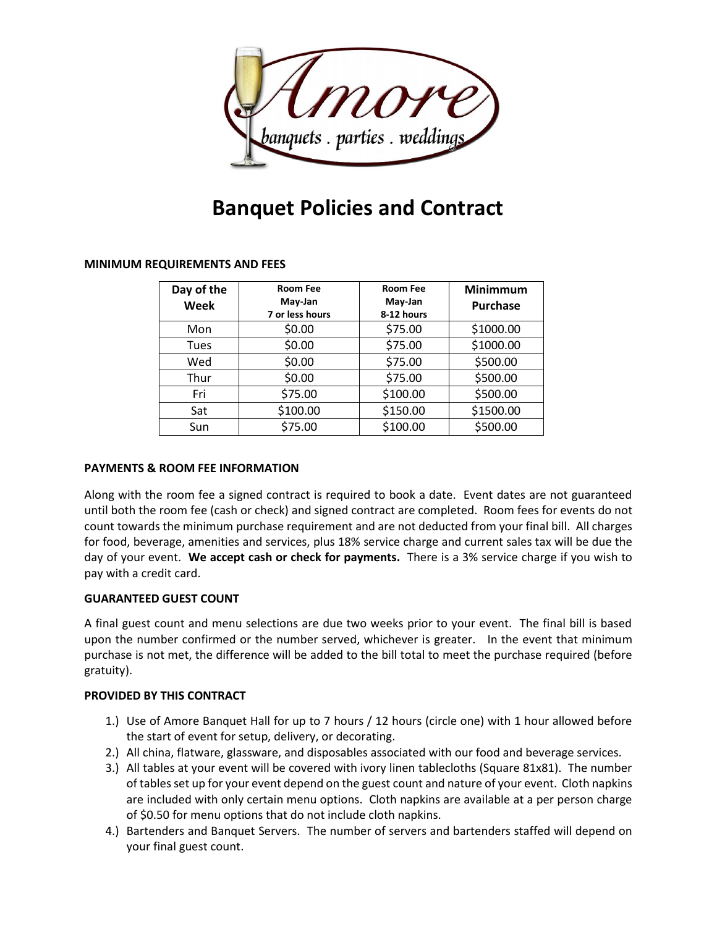

# **Banquet Policies and Contract**

## **MINIMUM REQUIREMENTS AND FEES**

| Day of the<br>Week | <b>Room Fee</b><br>May-Jan<br>7 or less hours | <b>Room Fee</b><br>May-Jan<br>8-12 hours | <b>Minimmum</b><br><b>Purchase</b> |
|--------------------|-----------------------------------------------|------------------------------------------|------------------------------------|
| Mon                | \$0.00                                        | \$75.00                                  | \$1000.00                          |
| Tues               | \$0.00                                        | \$75.00                                  | \$1000.00                          |
| Wed                | \$0.00                                        | \$75.00                                  | \$500.00                           |
| Thur               | \$0.00                                        | \$75.00                                  | \$500.00                           |
| Fri                | \$75.00                                       | \$100.00                                 | \$500.00                           |
| Sat                | \$100.00                                      | \$150.00                                 | \$1500.00                          |
| Sun                | \$75.00                                       | \$100.00                                 | \$500.00                           |

## **PAYMENTS & ROOM FEE INFORMATION**

Along with the room fee a signed contract is required to book a date. Event dates are not guaranteed until both the room fee (cash or check) and signed contract are completed. Room fees for events do not count towards the minimum purchase requirement and are not deducted from your final bill. All charges for food, beverage, amenities and services, plus 18% service charge and current sales tax will be due the day of your event. **We accept cash or check for payments.** There is a 3% service charge if you wish to pay with a credit card.

## **GUARANTEED GUEST COUNT**

A final guest count and menu selections are due two weeks prior to your event. The final bill is based upon the number confirmed or the number served, whichever is greater. In the event that minimum purchase is not met, the difference will be added to the bill total to meet the purchase required (before gratuity).

## **PROVIDED BY THIS CONTRACT**

- 1.) Use of Amore Banquet Hall for up to 7 hours / 12 hours (circle one) with 1 hour allowed before the start of event for setup, delivery, or decorating.
- 2.) All china, flatware, glassware, and disposables associated with our food and beverage services.
- 3.) All tables at your event will be covered with ivory linen tablecloths (Square 81x81). The number of tables set up for your event depend on the guest count and nature of your event. Cloth napkins are included with only certain menu options. Cloth napkins are available at a per person charge of \$0.50 for menu options that do not include cloth napkins.
- 4.) Bartenders and Banquet Servers. The number of servers and bartenders staffed will depend on your final guest count.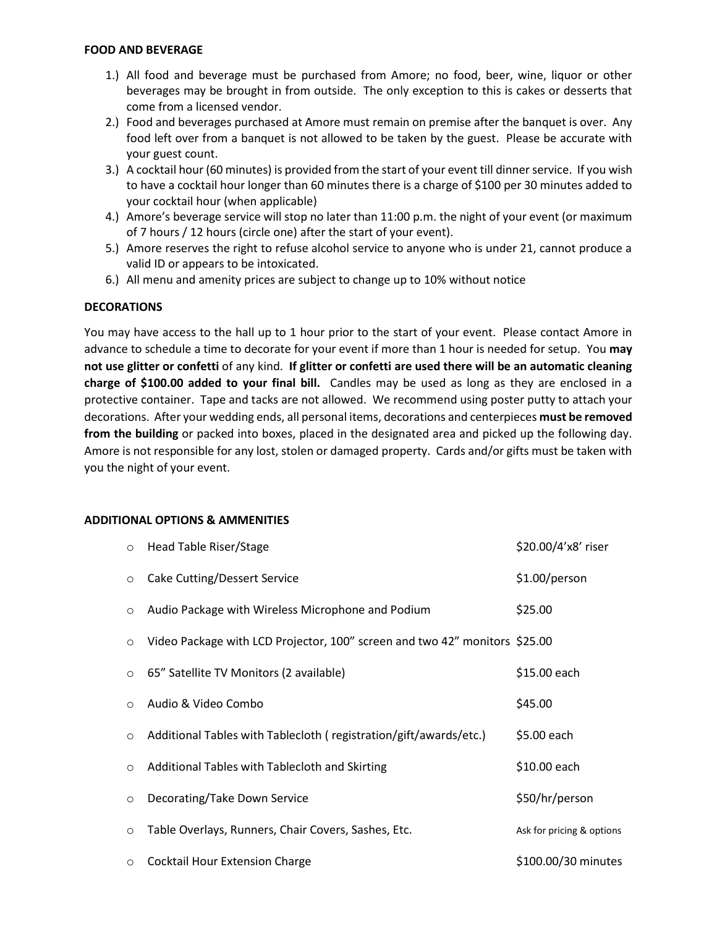#### **FOOD AND BEVERAGE**

- 1.) All food and beverage must be purchased from Amore; no food, beer, wine, liquor or other beverages may be brought in from outside. The only exception to this is cakes or desserts that come from a licensed vendor.
- 2.) Food and beverages purchased at Amore must remain on premise after the banquet is over. Any food left over from a banquet is not allowed to be taken by the guest. Please be accurate with your guest count.
- 3.) A cocktail hour (60 minutes) is provided from the start of your event till dinner service. If you wish to have a cocktail hour longer than 60 minutes there is a charge of \$100 per 30 minutes added to your cocktail hour (when applicable)
- 4.) Amore's beverage service will stop no later than 11:00 p.m. the night of your event (or maximum of 7 hours / 12 hours (circle one) after the start of your event).
- 5.) Amore reserves the right to refuse alcohol service to anyone who is under 21, cannot produce a valid ID or appears to be intoxicated.
- 6.) All menu and amenity prices are subject to change up to 10% without notice

## **DECORATIONS**

You may have access to the hall up to 1 hour prior to the start of your event. Please contact Amore in advance to schedule a time to decorate for your event if more than 1 hour is needed for setup. You **may not use glitter or confetti** of any kind. **If glitter or confetti are used there will be an automatic cleaning charge of \$100.00 added to your final bill.** Candles may be used as long as they are enclosed in a protective container. Tape and tacks are not allowed. We recommend using poster putty to attach your decorations. After your wedding ends, all personal items, decorations and centerpieces **must be removed from the building** or packed into boxes, placed in the designated area and picked up the following day. Amore is not responsible for any lost, stolen or damaged property. Cards and/or gifts must be taken with you the night of your event.

#### **ADDITIONAL OPTIONS & AMMENITIES**

| $\circ$ | Head Table Riser/Stage                                                     | \$20.00/4'x8' riser       |
|---------|----------------------------------------------------------------------------|---------------------------|
| $\circ$ | Cake Cutting/Dessert Service                                               | \$1.00/person             |
| $\circ$ | Audio Package with Wireless Microphone and Podium                          | \$25.00                   |
| $\circ$ | Video Package with LCD Projector, 100" screen and two 42" monitors \$25.00 |                           |
| $\circ$ | 65" Satellite TV Monitors (2 available)                                    | \$15.00 each              |
| $\circ$ | Audio & Video Combo                                                        | \$45.00                   |
| $\circ$ | Additional Tables with Tablecloth (registration/gift/awards/etc.)          | \$5.00 each               |
| $\circ$ | Additional Tables with Tablecloth and Skirting                             | \$10.00 each              |
| $\circ$ | Decorating/Take Down Service                                               | \$50/hr/person            |
| $\circ$ | Table Overlays, Runners, Chair Covers, Sashes, Etc.                        | Ask for pricing & options |
| $\circ$ | <b>Cocktail Hour Extension Charge</b>                                      | \$100.00/30 minutes       |